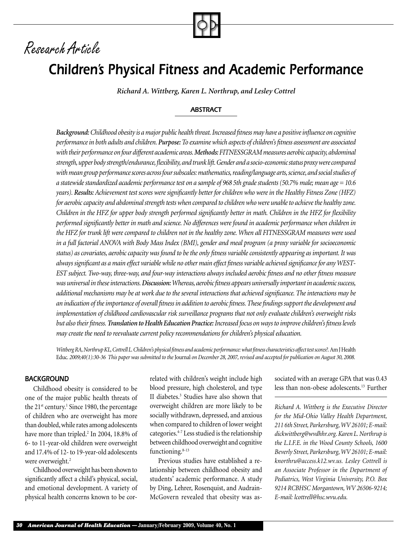# *Research Article*

## *Children's Physical Fitness and Academic Performance*

*Richard A. Wittberg, Karen L. Northrup, and Lesley Cottrel*

#### *ABSTRACT*

*Background: Childhood obesity is a major public health threat. Increased fitness may have a positive influence on cognitive performance in both adults and children. Purpose: To examine which aspects of children's fitness assessment are associated with their performance on four different academic areas. Methods: FITNESSGRAM measures aerobic capacity, abdominal strength, upper body strength/endurance, flexibility, and trunk lift. Gender and a socio-economic status proxy were compared with mean group performance scores across four subscales: mathematics, reading/language arts, science, and social studies of a statewide standardized academic performance test on a sample of 968 5th grade students (50.7% male; mean age = 10.6 years). Results: Achievement test scores were significantly better for children who were in the Healthy Fitness Zone (HFZ) for aerobic capacity and abdominal strength tests when compared to children who were unable to achieve the healthy zone. Children in the HFZ for upper body strength performed significantly better in math. Children in the HFZ for flexibility performed significantly better in math and science. No differences were found in academic performance when children in the HFZ for trunk lift were compared to children not in the healthy zone. When all FITNESSGRAM measures were used in a full factorial ANOVA with Body Mass Index (BMI), gender and meal program (a proxy variable for socioeconomic status) as covariates, aerobic capacity was found to be the only fitness variable consistently appearing as important. It was always significant as a main effect variable while no other main effect fitness variable achieved significance for any WEST-EST subject. Two-way, three-way, and four-way interactions always included aerobic fitness and no other fitness measure was universal in these interactions. Discussion: Whereas, aerobic fitness appears universally important in academic success, additional mechanisms may be at work due to the several interactions that achieved significance. The interactions may be an indication of the importance of overall fitness in addition to aerobic fitness. These findings support the development and implementation of childhood cardiovascular risk surveillance programs that not only evaluate children's overweight risks but also their fitness. Translation to Health Education Practice: Increased focus on ways to improve children's fitness levels may create the need to reevaluate current policy recommendations for children's physical education.* 

*Wittberg RA, Northrup KL, Cottrell L. Children's physical fitness and academic performance: what fitness characteristics affect test scores?.* Am J Health Educ*. 2009;40(1):30-36 This paper was submitted to the* Journal *on December 28, 2007, revised and accepted for publication on August 30, 2008.*

#### *BACKGROUND*

Childhood obesity is considered to be one of the major public health threats of the  $21^{st}$  century.<sup>1</sup> Since 1980, the percentage of children who are overweight has more than doubled, while rates among adolescents have more than tripled.<sup>2</sup> In 2004, 18.8% of 6- to 11-year-old children were overweight and 17.4% of 12- to 19-year-old adolescents were overweight.<sup>2</sup>

Childhood overweight has been shown to significantly affect a child's physical, social, and emotional development. A variety of physical health concerns known to be correlated with children's weight include high blood pressure, high cholesterol, and type II diabetes.3 Studies have also shown that overweight children are more likely to be socially withdrawn, depressed, and anxious when compared to children of lower weight categories.4-7 Less studied is the relationship between childhood overweight and cognitive functioning. $8-13$ 

Previous studies have established a relationship between childhood obesity and students' academic performance. A study by Ding, Lehrer, Rosenquist, and Audrain-McGovern revealed that obesity was as-

sociated with an average GPA that was 0.43 less than non-obese adolescents.13 Further

*Richard A. Wittberg is the Executive Director for the Mid-Ohio Valley Health Department, 211 6th Street, Parkersburg, WV 26101; E-mail: dickwittberg@wvdhhr.org. Karen L. Northrup is the L.I.F.E. in the Wood County Schools, 1600 Beverly Street, Parkersburg, WV 26101; E-mail: knorthru@access.k12.wv.us. Lesley Cottrell is an Associate Professor in the Department of Pediatrics, West Virginia University, P.O. Box 9214 RCBHSC Morgantown, WV 26506-9214; E-mail: lcottrell@hsc.wvu.edu.*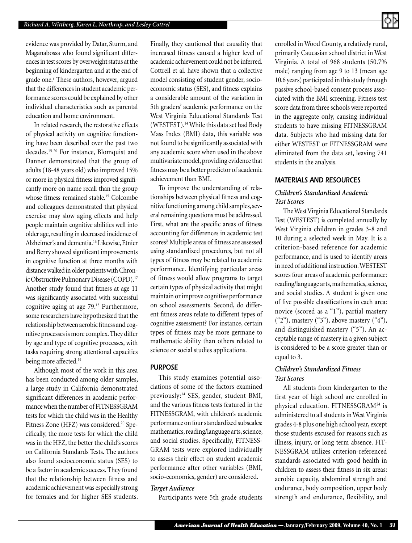

evidence was provided by Datar, Sturm, and Maganabossa who found significant differences in test scores by overweight status at the beginning of kindergarten and at the end of grade one.<sup>9</sup> These authors, however, argued that the differences in student academic performance scores could be explained by other individual characteristics such as parental education and home environment.

In related research, the restorative effects of physical activity on cognitive functioning have been described over the past two decades.15-20 For instance, Blomquist and Danner demonstrated that the group of adults (18-48 years old) who improved 15% or more in physical fitness improved significantly more on name recall than the group whose fitness remained stable.<sup>15</sup> Colcombe and colleagues demonstrated that physical exercise may slow aging effects and help people maintain cognitive abilities well into older age, resulting in decreased incidence of Alzheimer's and dementia.16 Likewise, Etnier and Berry showed significant improvements in cognitive function at three months with distance walked in older patients with Chronic Obstructive Pulmonary Disease (COPD).<sup>17</sup> Another study found that fitness at age 11 was significantly associated with successful cognitive aging at age 79.18 Furthermore, some researchers have hypothesized that the relationship between aerobic fitness and cognitive processes is more complex. They differ by age and type of cognitive processes, with tasks requiring strong attentional capacities being more affected.<sup>19</sup>

Although most of the work in this area has been conducted among older samples, a large study in California demonstrated significant differences in academic performance when the number of FITNESSGRAM tests for which the child was in the Healthy Fitness Zone (HFZ) was considered.<sup>20</sup> Specifically, the more tests for which the child was in the HFZ, the better the child's scores on California Standards Tests. The authors also found socioeconomic status (SES) to be a factor in academic success. They found that the relationship between fitness and academic achievement was especially strong for females and for higher SES students. Finally, they cautioned that causality that increased fitness caused a higher level of academic achievement could not be inferred. Cottrell et al. have shown that a collective model consisting of student gender, socioeconomic status (SES), and fitness explains a considerable amount of the variation in 5th graders' academic performance on the West Virginia Educational Standards Test (WESTEST).14 While this data set had Body Mass Index (BMI) data, this variable was not found to be significantly associated with any academic score when used in the above multivariate model, providing evidence that fitness may be a better predictor of academic achievement than BMI.

To improve the understanding of relationships between physical fitness and cognitive functioning among child samples, several remaining questions must be addressed. First, what are the specific areas of fitness accounting for differences in academic test scores? Multiple areas of fitness are assessed using standardized procedures, but not all types of fitness may be related to academic performance. Identifying particular areas of fitness would allow programs to target certain types of physical activity that might maintain or improve cognitive performance on school assessments. Second, do different fitness areas relate to different types of cognitive assessment? For instance, certain types of fitness may be more germane to mathematic ability than others related to science or social studies applications.

## *PURPOSE*

This study examines potential associations of some of the factors examined previously:14 SES, gender, student BMI, and the various fitness tests featured in the FITNESSGRAM, with children's academic performance on four standardized subscales: mathematics, reading/language arts, science, and social studies. Specifically, FITNESS-GRAM tests were explored individually to assess their effect on student academic performance after other variables (BMI, socio-economics, gender) are considered.

#### *Target Audience*

Participants were 5th grade students

enrolled in Wood County, a relatively rural, primarily Caucasian school district in West Virginia. A total of 968 students (50.7% male) ranging from age 9 to 13 (mean age 10.6 years) participated in this study through passive school-based consent process associated with the BMI screening. Fitness test score data from three schools were reported in the aggregate only, causing individual students to have missing FITNESSGRAM data. Subjects who had missing data for either WESTEST or FITNESSGRAM were eliminated from the data set, leaving 741 students in the analysis.

## *MATERIALS AND RESOURCES*

## *Children's Standardized Academic Test Scores*

The West Virginia Educational Standards Test (WESTEST) is completed annually by West Virginia children in grades 3-8 and 10 during a selected week in May. It is a criterion-based reference for academic performance, and is used to identify areas in need of additional instruction. WESTEST scores four areas of academic performance: reading/language arts, mathematics, science, and social studies. A student is given one of five possible classifications in each area: novice (scored as a "1"), partial mastery  $({}^{\alpha}2^{\nu})$ , mastery  $({}^{\alpha}3^{\nu})$ , above mastery  $({}^{\alpha}4^{\nu})$ , and distinguished mastery ("5"). An acceptable range of mastery in a given subject is considered to be a score greater than or equal to 3.

## *Children's Standardized Fitness Test Scores*

All students from kindergarten to the first year of high school are enrolled in physical education. FITNESSGRAM<sup>24</sup> is administered to all students in West Virginia grades 4-8 plus one high school year, except those students excused for reasons such as illness, injury, or long term absence. FIT-NESSGRAM utilizes criterion-referenced standards associated with good health in children to assess their fitness in six areas: aerobic capacity, abdominal strength and endurance, body composition, upper body strength and endurance, flexibility, and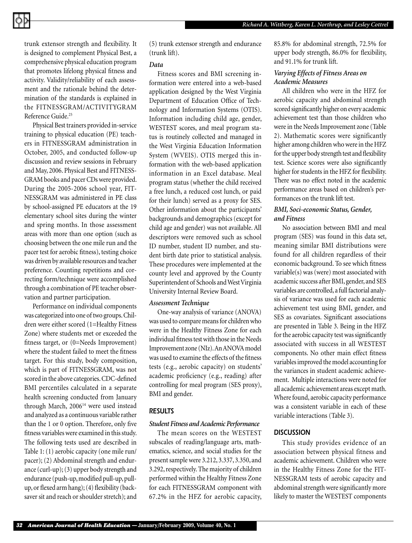

trunk extensor strength and flexibility. It is designed to complement Physical Best, a comprehensive physical education program that promotes lifelong physical fitness and activity. Validity/reliability of each assessment and the rationale behind the determination of the standards is explained in the FITNESSGRAM/ACTIVITYGRAM Reference Guide.<sup>25</sup>

Physical Best trainers provided in-service training to physical education (PE) teachers in FITNESSGRAM administration in October, 2005, and conducted follow-up discussion and review sessions in February and May, 2006. Physical Best and FITNESS-GRAM books and pacer CDs were provided. During the 2005-2006 school year, FIT-NESSGRAM was administered in PE class by school-assigned PE educators at the 19 elementary school sites during the winter and spring months. In those assessment areas with more than one option (such as choosing between the one mile run and the pacer test for aerobic fitness), testing choice was driven by available resources and teacher preference. Counting repetitions and correcting form/technique were accomplished through a combination of PE teacher observation and partner participation.

Performance on individual components was categorized into one of two groups. Children were either scored (1=Healthy Fitness Zone) where students met or exceeded the fitness target, or (0=Needs Improvement) where the student failed to meet the fitness target. For this study, body composition, which is part of FITNESSGRAM, was not scored in the above categories. CDC-defined BMI percentiles calculated in a separate health screening conducted from January through March, 2006<sup>14</sup> were used instead and analyzed as a continuous variable rather than the 1 or 0 option. Therefore, only five fitness variables were examined in this study. The following tests used are described in Table 1: (1) aerobic capacity (one mile run/ pacer); (2) Abdominal strength and endurance (curl-up); (3) upper body strength and endurance (push-up, modified pull-up, pullup, or flexed arm hang); (4) flexibility (backsaver sit and reach or shoulder stretch); and (5) trunk extensor strength and endurance (trunk lift).

#### *Data*

Fitness scores and BMI screening information were entered into a web-based application designed by the West Virginia Department of Education Office of Technology and Information Systems (OTIS). Information including child age, gender, WESTEST scores, and meal program status is routinely collected and managed in the West Virginia Education Information System (WVEIS). OTIS merged this information with the web-based application information in an Excel database. Meal program status (whether the child received a free lunch, a reduced cost lunch, or paid for their lunch) served as a proxy for SES. Other information about the participants' backgrounds and demographics (except for child age and gender) was not available. All descriptors were removed such as school ID number, student ID number, and student birth date prior to statistical analysis. These procedures were implemented at the county level and approved by the County Superintendent of Schools and West Virginia University Internal Review Board.

#### *Assessment Technique*

One-way analysis of variance (ANOVA) was used to compare means for children who were in the Healthy Fitness Zone for each individual fitness test with those in the Needs Improvement zone (NIz). An ANOVA model was used to examine the effects of the fitness tests (e.g., aerobic capacity) on students' academic proficiency (e.g., reading) after controlling for meal program (SES proxy), BMI and gender.

## *RESULTS*

#### *Student Fitness and Academic Performance*

The mean scores on the WESTEST subscales of reading/language arts, mathematics, science, and social studies for the present sample were 3.212, 3.337, 3.350, and 3.292, respectively. The majority of children performed within the Healthy Fitness Zone for each FITNESSGRAM component with 67.2% in the HFZ for aerobic capacity, 85.8% for abdominal strength, 72.5% for upper body strength, 86.0% for flexibility, and 91.1% for trunk lift.

## *Varying Effects of Fitness Areas on Academic Measures*

All children who were in the HFZ for aerobic capacity and abdominal strength scored significantly higher on every academic achievement test than those children who were in the Needs Improvement zone (Table 2). Mathematic scores were significantly higher among children who were in the HFZ for the upper body strength test and flexibility test. Science scores were also significantly higher for students in the HFZ for flexibility. There was no effect noted in the academic performance areas based on children's performances on the trunk lift test.

## *BMI, Soci-economic Status, Gender, and Fitness*

No association between BMI and meal program (SES) was found in this data set, meaning similar BMI distributions were found for all children regardless of their economic background. To see which fitness variable(s) was (were) most associated with academic success after BMI, gender, and SES variables are controlled, a full factorial analysis of variance was used for each academic achievement test using BMI, gender, and SES as covariates. Significant associations are presented in Table 3. Being in the HFZ for the aerobic capacity test was significantly associated with success in all WESTEST components. No other main effect fitness variables improved the model accounting for the variances in student academic achievement. Multiple interactions were noted for all academic achievement areas except math. Where found, aerobic capacity performance was a consistent variable in each of these variable interactions (Table 3).

#### *DISCUSSION*

This study provides evidence of an association between physical fitness and academic achievement. Children who were in the Healthy Fitness Zone for the FIT-NESSGRAM tests of aerobic capacity and abdominal strength were significantly more likely to master the WESTEST components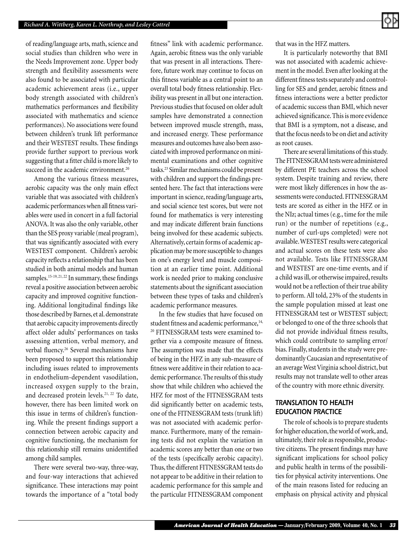

of reading/language arts, math, science and social studies than children who were in the Needs Improvement zone. Upper body strength and flexibility assessments were also found to be associated with particular academic achievement areas (i.e., upper body strength associated with children's mathematics performances and flexibility associated with mathematics and science performances). No associations were found between children's trunk lift performance and their WESTEST results. These findings provide further support to previous work suggesting that a fitter child is more likely to succeed in the academic environment.<sup>20</sup>

Among the various fitness measures, aerobic capacity was the only main effect variable that was associated with children's academic performances when all fitness variables were used in concert in a full factorial ANOVA. It was also the only variable, other than the SES proxy variable (meal program), that was significantly associated with every WESTEST component. Children's aerobic capacity reflects a relationship that has been studied in both animal models and human samples.<sup>15-19, 21, 22</sup> In summary, these findings reveal a positive association between aerobic capacity and improved cognitive functioning. Additional longitudinal findings like those described by Barnes, et al. demonstrate that aerobic capacity improvements directly affect older adults' performances on tasks assessing attention, verbal memory, and verbal fluency.<sup>26</sup> Several mechanisms have been proposed to support this relationship including issues related to improvements in endothelium-dependent vasodilation, increased oxygen supply to the brain, and decreased protein levels.<sup>21, 22</sup> To date, however, there has been limited work on this issue in terms of children's functioning. While the present findings support a connection between aerobic capacity and cognitive functioning, the mechanism for this relationship still remains unidentified among child samples.

There were several two-way, three-way, and four-way interactions that achieved significance. These interactions may point towards the importance of a "total body fitness" link with academic performance. Again, aerobic fitness was the only variable that was present in all interactions. Therefore, future work may continue to focus on this fitness variable as a central point to an overall total body fitness relationship. Flexibility was present in all but one interaction. Previous studies that focused on older adult samples have demonstrated a connection between improved muscle strength, mass, and increased energy. These performance measures and outcomes have also been associated with improved performance on minimental examinations and other cognitive tasks.23 Similar mechanisms could be present with children and support the findings presented here. The fact that interactions were important in science, reading/language arts, and social science test scores, but were not found for mathematics is very interesting and may indicate different brain functions being involved for these academic subjects. Alternatively, certain forms of academic application may be more susceptible to changes in one's energy level and muscle composition at an earlier time point. Additional work is needed prior to making conclusive statements about the significant association between these types of tasks and children's academic performance measures.

In the few studies that have focused on student fitness and academic performance,<sup>14,</sup> 20 FITNESSGRAM tests were examined together via a composite measure of fitness. The assumption was made that the effects of being in the HFZ in any sub-measure of fitness were additive in their relation to academic performance. The results of this study show that while children who achieved the HFZ for most of the FITNESSGRAM tests did significantly better on academic tests, one of the FITNESSGRAM tests (trunk lift) was not associated with academic performance. Furthermore, many of the remaining tests did not explain the variation in academic scores any better than one or two of the tests (specifically aerobic capacity). Thus, the different FITNESSGRAM tests do not appear to be additive in their relation to academic performance for this sample and the particular FITNESSGRAM component that was in the HFZ matters.

It is particularly noteworthy that BMI was not associated with academic achievement in the model. Even after looking at the different fitness tests separately and controlling for SES and gender, aerobic fitness and fitness interactions were a better predictor of academic success than BMI, which never achieved significance. This is more evidence that BMI is a symptom, not a disease, and that the focus needs to be on diet and activity as root causes.

There are several limitations of this study. The FITNESSGRAM tests were administered by different PE teachers across the school system. Despite training and review, there were most likely differences in how the assessments were conducted. FITNESSGRAM tests are scored as either in the HFZ or in the NIz; actual times (e.g., time for the mile run) or the number of repetitions (e.g., number of curl-ups completed) were not available. WESTEST results were categorical and actual scores on these tests were also not available. Tests like FITNESSGRAM and WESTEST are one-time events, and if a child was ill, or otherwise impaired, results would not be a reflection of their true ability to perform. All told, 23% of the students in the sample population missed at least one FITNESSGRAM test or WESTEST subject; or belonged to one of the three schools that did not provide individual fitness results, which could contribute to sampling error/ bias. Finally, students in the study were predominantly Caucasian and representative of an average West Virginia school district, but results may not translate well to other areas of the country with more ethnic diversity.

## *TRANSLATION TO HEALTH EDUCATION PRACTICE*

The role of schools is to prepare students for higher education, the world of work, and, ultimately, their role as responsible, productive citizens. The present findings may have significant implications for school policy and public health in terms of the possibilities for physical activity interventions. One of the main reasons listed for reducing an emphasis on physical activity and physical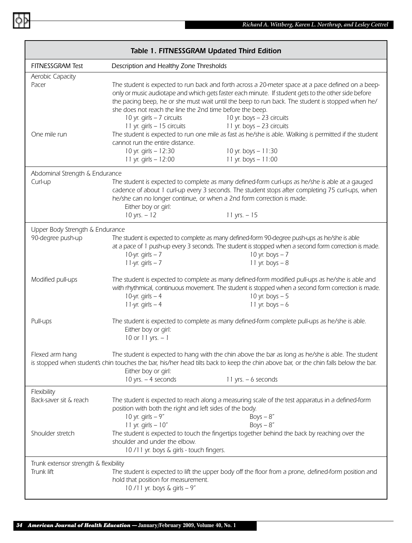

| Table 1. FITNESSGRAM Updated Third Edition                                                                                                                                                                                                       |                                                                                                                                                                                                                                                                                                                                                                                                                                                                                                 |  |  |  |  |  |
|--------------------------------------------------------------------------------------------------------------------------------------------------------------------------------------------------------------------------------------------------|-------------------------------------------------------------------------------------------------------------------------------------------------------------------------------------------------------------------------------------------------------------------------------------------------------------------------------------------------------------------------------------------------------------------------------------------------------------------------------------------------|--|--|--|--|--|
| FITNESSGRAM Test                                                                                                                                                                                                                                 | Description and Healthy Zone Thresholds                                                                                                                                                                                                                                                                                                                                                                                                                                                         |  |  |  |  |  |
| Aerobic Capacity<br>Pacer<br>One mile run                                                                                                                                                                                                        | The student is expected to run back and forth across a 20-meter space at a pace defined on a beep-<br>only or music audiotape and which gets faster each minute. If student gets to the other side before<br>the pacing beep, he or she must wait until the beep to run back. The student is stopped when he/<br>she does not reach the line the 2nd time before the beep.<br>10 yr. girls - 7 circuits<br>10 yr. boys - 23 circuits<br>11 yr. boys - 23 circuits<br>11 yr. girls - 15 circuits |  |  |  |  |  |
|                                                                                                                                                                                                                                                  | The student is expected to run one mile as fast as he/she is able. Walking is permitted if the student<br>cannot run the entire distance.<br>10 yr. boys - 11:30<br>10 yr. girls - 12:30<br>11 yr. girls - 12:00<br>11 yr. boys $- 11:00$                                                                                                                                                                                                                                                       |  |  |  |  |  |
| Abdominal Strength & Endurance<br>Curl-up<br>The student is expected to complete as many defined-form curl-ups as he/she is able at a gauged<br>cadence of about 1 curl-up every 3 seconds. The student stops after completing 75 curl-ups, when |                                                                                                                                                                                                                                                                                                                                                                                                                                                                                                 |  |  |  |  |  |
|                                                                                                                                                                                                                                                  | he/she can no longer continue, or when a 2nd form correction is made.<br>Either boy or girl:<br>$10$ yrs. $-12$<br>$11$ yrs. $-15$                                                                                                                                                                                                                                                                                                                                                              |  |  |  |  |  |
| Upper Body Strength & Endurance<br>90-degree push-up                                                                                                                                                                                             | The student is expected to complete as many defined-form 90-degree push-ups as he/she is able<br>at a pace of 1 push-up every 3 seconds. The student is stopped when a second form correction is made.<br>10-yr. girls $-7$<br>10 yr. boys $-7$<br>11-yr. girls $-7$<br>11 yr. boys $-8$                                                                                                                                                                                                        |  |  |  |  |  |
| Modified pull-ups                                                                                                                                                                                                                                | The student is expected to complete as many defined-form modified pull-ups as he/she is able and<br>with rhythmical, continuous movement. The student is stopped when a second form correction is made.<br>10-yr. girls $-4$<br>10 yr. boys $-5$<br>11-yr. girls $-4$<br>11 yr. boys $-6$                                                                                                                                                                                                       |  |  |  |  |  |
| Pull-ups                                                                                                                                                                                                                                         | The student is expected to complete as many defined-form complete pull-ups as he/she is able.<br>Either boy or girl:<br>10 or 11 yrs. $-1$                                                                                                                                                                                                                                                                                                                                                      |  |  |  |  |  |
| Flexed arm hang                                                                                                                                                                                                                                  | The student is expected to hang with the chin above the bar as long as he/she is able. The student<br>is stopped when student's chin touches the bar, his/her head tilts back to keep the chin above bar, or the chin falls below the bar.<br>Either boy or girl:<br>10 yrs. - 4 seconds<br>11 yrs. $-6$ seconds                                                                                                                                                                                |  |  |  |  |  |
| Flexibility<br>Back-saver sit & reach                                                                                                                                                                                                            | The student is expected to reach along a measuring scale of the test apparatus in a defined-form<br>position with both the right and left sides of the body.<br>10 yr. girls $-9$ "<br>$Boys - 8"$                                                                                                                                                                                                                                                                                              |  |  |  |  |  |
| Shoulder stretch                                                                                                                                                                                                                                 | 11 yr. girls $-10$ "<br>$Boys - 8"$<br>The student is expected to touch the fingertips together behind the back by reaching over the<br>shoulder and under the elbow.<br>10/11 yr. boys & girls - touch fingers.                                                                                                                                                                                                                                                                                |  |  |  |  |  |
| Trunk extensor strength & flexibility<br>Trunk lift                                                                                                                                                                                              | The student is expected to lift the upper body off the floor from a prone, defined-form position and<br>hold that position for measurement.<br>10 / 11 yr. boys & girls - 9"                                                                                                                                                                                                                                                                                                                    |  |  |  |  |  |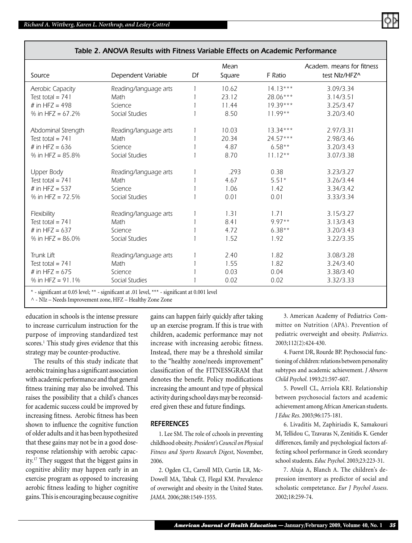

|                     |                       |    | Mean   | Academ, means for fitness |               |
|---------------------|-----------------------|----|--------|---------------------------|---------------|
| Source              | Dependent Variable    | Df | Square | F Ratio                   | test NIz/HFZ^ |
| Aerobic Capacity    | Reading/language arts |    | 10.62  | $14.13***$                | 3.09/3.34     |
| Test total = $741$  | <b>Math</b>           |    | 23.12  | 28.06***                  | 3.14/3.51     |
| # in HFZ = $498$    | Science               |    | 11.44  | $19.39***$                | 3.25/3.47     |
| % in HFZ = $67.2\%$ | Social Studies        |    | 8.50   | $11.99**$                 | 3.20/3.40     |
| Abdominal Strength  | Reading/language arts |    | 10.03  | $13.34***$                | 2.97/3.31     |
| Test total = $741$  | Math                  |    | 20.34  | $24.57***$                | 2.98/3.46     |
| # in HFZ = $636$    | Science               |    | 4.87   | $6.58**$                  | 3.20/3.43     |
| % in HFZ = 85.8%    | Social Studies        |    | 8.70   | $11.12**$                 | 3.07/3.38     |
| Upper Body          | Reading/language arts |    | .293   | 0.38                      | 3.23/3.27     |
| Test total = $741$  | Math                  |    | 4.67   | $5.51*$                   | 3.26/3.44     |
| # in $HFZ = 537$    | Science               |    | 1.06   | 1.42                      | 3.34/3.42     |
| % in HFZ = 72.5%    | Social Studies        |    | 0.01   | 0.01                      | 3.33/3.34     |
| Flexibility         | Reading/language arts |    | 1.31   | 1.71                      | 3.15/3.27     |
| Test total = $741$  | Math                  |    | 8.41   | $9.97**$                  | 3.13/3.43     |
| # in HFZ = $637$    | Science               |    | 4.72   | $6.38**$                  | 3.20/3.43     |
| % in HFZ = $86.0\%$ | Social Studies        |    | 1.52   | 1.92                      | 3.22/3.35     |
| Trunk Lift          | Reading/language arts |    | 2.40   | 1.82                      | 3.08/3.28     |
| Test total = $741$  | Math                  |    | 1.55   | 1.82                      | 3.24/3.40     |
| # in HFZ = $675$    | Science               |    | 0.03   | 0.04                      | 3.38/3.40     |
| % in HFZ = $91.1\%$ | Social Studies        |    | 0.02   | 0.02                      | 3.32/3.33     |

#### *Table 2. ANOVA Results with Fitness Variable Effects on Academic Performance*

\* - significant at 0.05 level; \*\* - significant at .01 level, \*\*\* - significant at 0.001 level

^ - NIz – Needs Improvement zone, HFZ – Healthy Zone Zone

education in schools is the intense pressure to increase curriculum instruction for the purpose of improving standardized test scores.<sup>1</sup> This study gives evidence that this strategy may be counter-productive.

The results of this study indicate that aerobic training has a significant association with academic performance and that general fitness training may also be involved. This raises the possibility that a child's chances for academic success could be improved by increasing fitness. Aerobic fitness has been shown to influence the cognitive function of older adults and it has been hypothesized that these gains may not be in a good doseresponse relationship with aerobic capacity.17 They suggest that the biggest gains in cognitive ability may happen early in an exercise program as opposed to increasing aerobic fitness leading to higher cognitive gains. This is encouraging because cognitive gains can happen fairly quickly after taking up an exercise program. If this is true with children, academic performance may not increase with increasing aerobic fitness. Instead, there may be a threshold similar to the "healthy zone/needs improvement" classification of the FITNESSGRAM that denotes the benefit. Policy modifications increasing the amount and type of physical activity during school days may be reconsidered given these and future findings.

#### *REFERENCES*

1. Lee SM. The role of cchools in preventing childhood obesity. *President's Council on Physical Fitness and Sports Research Digest*, November, 2006.

2. Ogden CL, Carroll MD, Curtin LR, Mc-Dowell MA, Tabak CJ, Flegal KM. Prevalence of overweight and obesity in the United States. *JAMA*. 2006;288:1549-1555.

3. American Academy of Pediatrics Committee on Nutrition (APA). Prevention of pediatric overweight and obesity. *Pediatrics*. 2003;112(2):424-430.

4. Fuerst DR, Rourde BP. Psychosocial functioning of children: relations between personality subtypes and academic achievement. *J Abnorm Child Psychol*. 1993;21:597-607.

5. Powell CL, Arriola KRJ. Relationship between psychosocial factors and academic achievement among African American students. *J Educ Res*. 2003;96:175-181.

6. Livaditis M, Zaphiriadis K, Samakouri M, Tellidou C, Tzavaras N, Zenitidis K. Gender differences, family and psychological factors affecting school performance in Greek secondary school students. *Educ Psychol*. 2003;23:223-31.

7. Aluja A, Blanch A. The children's depression inventory as predictor of social and scholastic competetance. *Eur J Psychol Assess*. 2002;18:259-74.